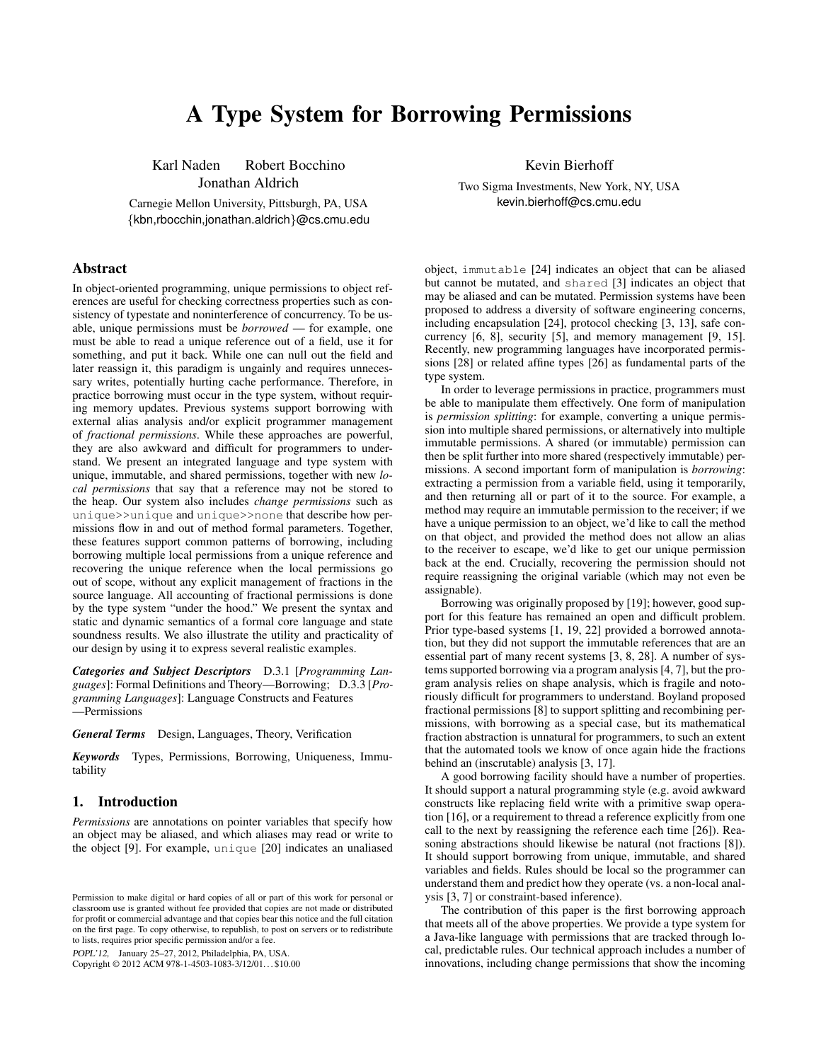# A Type System for Borrowing Permissions

Karl Naden Robert Bocchino Jonathan Aldrich

Carnegie Mellon University, Pittsburgh, PA, USA {kbn,rbocchin,jonathan.aldrich}@cs.cmu.edu

# Abstract

In object-oriented programming, unique permissions to object references are useful for checking correctness properties such as consistency of typestate and noninterference of concurrency. To be usable, unique permissions must be *borrowed* — for example, one must be able to read a unique reference out of a field, use it for something, and put it back. While one can null out the field and later reassign it, this paradigm is ungainly and requires unnecessary writes, potentially hurting cache performance. Therefore, in practice borrowing must occur in the type system, without requiring memory updates. Previous systems support borrowing with external alias analysis and/or explicit programmer management of *fractional permissions*. While these approaches are powerful, they are also awkward and difficult for programmers to understand. We present an integrated language and type system with unique, immutable, and shared permissions, together with new *local permissions* that say that a reference may not be stored to the heap. Our system also includes *change permissions* such as unique>>unique and unique>>none that describe how permissions flow in and out of method formal parameters. Together, these features support common patterns of borrowing, including borrowing multiple local permissions from a unique reference and recovering the unique reference when the local permissions go out of scope, without any explicit management of fractions in the source language. All accounting of fractional permissions is done by the type system "under the hood." We present the syntax and static and dynamic semantics of a formal core language and state soundness results. We also illustrate the utility and practicality of our design by using it to express several realistic examples.

*Categories and Subject Descriptors* D.3.1 [*Programming Languages*]: Formal Definitions and Theory—Borrowing; D.3.3 [*Programming Languages*]: Language Constructs and Features —Permissions

*General Terms* Design, Languages, Theory, Verification

*Keywords* Types, Permissions, Borrowing, Uniqueness, Immutability

# 1. Introduction

*Permissions* are annotations on pointer variables that specify how an object may be aliased, and which aliases may read or write to the object [9]. For example, unique [20] indicates an unaliased

POPL'12, January 25–27, 2012, Philadelphia, PA, USA.

Copyright © 2012 ACM 978-1-4503-1083-3/12/01. . . \$10.00

Kevin Bierhoff

Two Sigma Investments, New York, NY, USA kevin.bierhoff@cs.cmu.edu

object, immutable [24] indicates an object that can be aliased but cannot be mutated, and shared [3] indicates an object that may be aliased and can be mutated. Permission systems have been proposed to address a diversity of software engineering concerns, including encapsulation [24], protocol checking [3, 13], safe concurrency [6, 8], security [5], and memory management [9, 15]. Recently, new programming languages have incorporated permissions [28] or related affine types [26] as fundamental parts of the type system.

In order to leverage permissions in practice, programmers must be able to manipulate them effectively. One form of manipulation is *permission splitting*: for example, converting a unique permission into multiple shared permissions, or alternatively into multiple immutable permissions. A shared (or immutable) permission can then be split further into more shared (respectively immutable) permissions. A second important form of manipulation is *borrowing*: extracting a permission from a variable field, using it temporarily, and then returning all or part of it to the source. For example, a method may require an immutable permission to the receiver; if we have a unique permission to an object, we'd like to call the method on that object, and provided the method does not allow an alias to the receiver to escape, we'd like to get our unique permission back at the end. Crucially, recovering the permission should not require reassigning the original variable (which may not even be assignable).

Borrowing was originally proposed by [19]; however, good support for this feature has remained an open and difficult problem. Prior type-based systems [1, 19, 22] provided a borrowed annotation, but they did not support the immutable references that are an essential part of many recent systems [3, 8, 28]. A number of systems supported borrowing via a program analysis [4, 7], but the program analysis relies on shape analysis, which is fragile and notoriously difficult for programmers to understand. Boyland proposed fractional permissions [8] to support splitting and recombining permissions, with borrowing as a special case, but its mathematical fraction abstraction is unnatural for programmers, to such an extent that the automated tools we know of once again hide the fractions behind an (inscrutable) analysis [3, 17].

A good borrowing facility should have a number of properties. It should support a natural programming style (e.g. avoid awkward constructs like replacing field write with a primitive swap operation [16], or a requirement to thread a reference explicitly from one call to the next by reassigning the reference each time [26]). Reasoning abstractions should likewise be natural (not fractions [8]). It should support borrowing from unique, immutable, and shared variables and fields. Rules should be local so the programmer can understand them and predict how they operate (vs. a non-local analysis [3, 7] or constraint-based inference).

The contribution of this paper is the first borrowing approach that meets all of the above properties. We provide a type system for a Java-like language with permissions that are tracked through local, predictable rules. Our technical approach includes a number of innovations, including change permissions that show the incoming

Permission to make digital or hard copies of all or part of this work for personal or classroom use is granted without fee provided that copies are not made or distributed for profit or commercial advantage and that copies bear this notice and the full citation on the first page. To copy otherwise, to republish, to post on servers or to redistribute to lists, requires prior specific permission and/or a fee.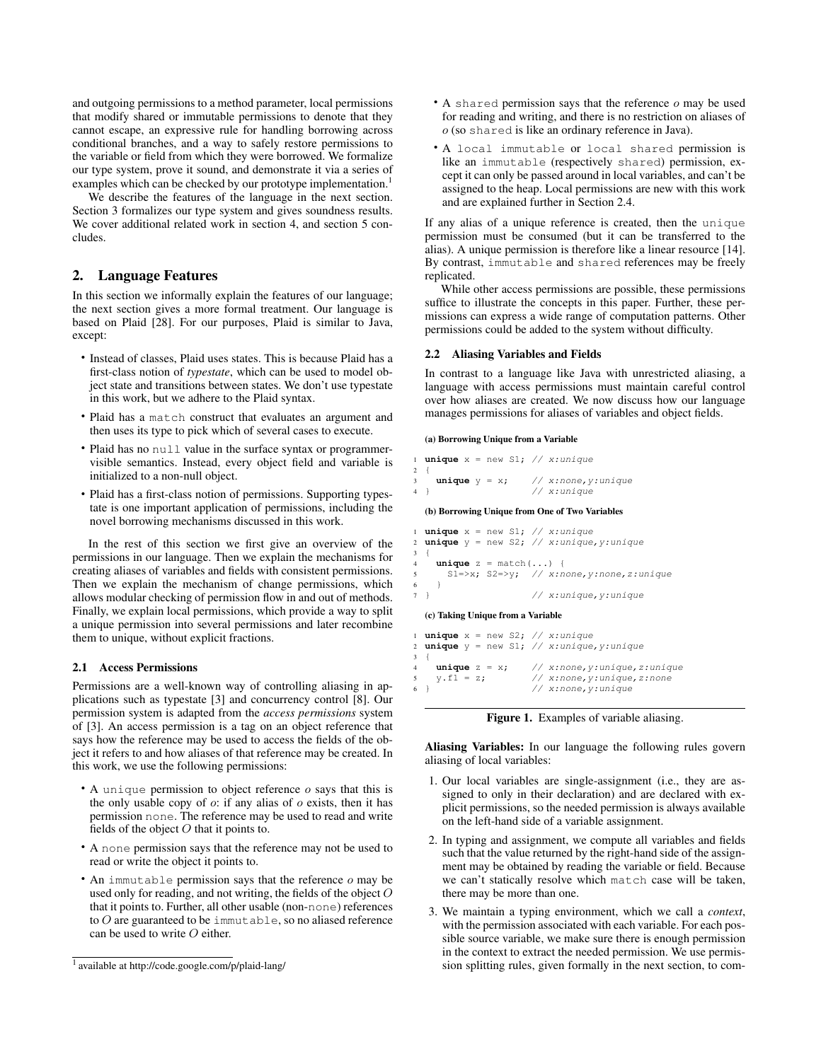and outgoing permissions to a method parameter, local permissions that modify shared or immutable permissions to denote that they cannot escape, an expressive rule for handling borrowing across conditional branches, and a way to safely restore permissions to the variable or field from which they were borrowed. We formalize our type system, prove it sound, and demonstrate it via a series of examples which can be checked by our prototype implementation.<sup>1</sup>

We describe the features of the language in the next section. Section 3 formalizes our type system and gives soundness results. We cover additional related work in section 4, and section 5 concludes.

# 2. Language Features

In this section we informally explain the features of our language; the next section gives a more formal treatment. Our language is based on Plaid [28]. For our purposes, Plaid is similar to Java, except:

- Instead of classes, Plaid uses states. This is because Plaid has a first-class notion of *typestate*, which can be used to model object state and transitions between states. We don't use typestate in this work, but we adhere to the Plaid syntax.
- Plaid has a match construct that evaluates an argument and then uses its type to pick which of several cases to execute.
- Plaid has no null value in the surface syntax or programmervisible semantics. Instead, every object field and variable is initialized to a non-null object.
- Plaid has a first-class notion of permissions. Supporting typestate is one important application of permissions, including the novel borrowing mechanisms discussed in this work.

In the rest of this section we first give an overview of the permissions in our language. Then we explain the mechanisms for creating aliases of variables and fields with consistent permissions. Then we explain the mechanism of change permissions, which allows modular checking of permission flow in and out of methods. Finally, we explain local permissions, which provide a way to split a unique permission into several permissions and later recombine them to unique, without explicit fractions.

#### 2.1 Access Permissions

Permissions are a well-known way of controlling aliasing in applications such as typestate [3] and concurrency control [8]. Our permission system is adapted from the *access permissions* system of [3]. An access permission is a tag on an object reference that says how the reference may be used to access the fields of the object it refers to and how aliases of that reference may be created. In this work, we use the following permissions:

- A unique permission to object reference *o* says that this is the only usable copy of  $\sigma$ : if any alias of  $\sigma$  exists, then it has permission none. The reference may be used to read and write fields of the object  $O$  that it points to.
- A none permission says that the reference may not be used to read or write the object it points to.
- An immutable permission says that the reference  $o$  may be used only for reading, and not writing, the fields of the object O that it points to. Further, all other usable (non-none) references to  $O$  are guaranteed to be immutable, so no aliased reference can be used to write O either.
- $\bullet$  A shared permission says that the reference  $o$  may be used for reading and writing, and there is no restriction on aliases of o (so shared is like an ordinary reference in Java).
- A local immutable or local shared permission is like an immutable (respectively shared) permission, except it can only be passed around in local variables, and can't be assigned to the heap. Local permissions are new with this work and are explained further in Section 2.4.

If any alias of a unique reference is created, then the unique permission must be consumed (but it can be transferred to the alias). A unique permission is therefore like a linear resource [14]. By contrast, immutable and shared references may be freely replicated.

While other access permissions are possible, these permissions suffice to illustrate the concepts in this paper. Further, these permissions can express a wide range of computation patterns. Other permissions could be added to the system without difficulty.

#### 2.2 Aliasing Variables and Fields

In contrast to a language like Java with unrestricted aliasing, a language with access permissions must maintain careful control over how aliases are created. We now discuss how our language manages permissions for aliases of variables and object fields.

#### (a) Borrowing Unique from a Variable

 $\overline{2}$ 

6 }

```
unique x = new SI; // x:unique3 unique y = x; // x:none, y:unique<br>4 } // x:unique// x:unique
```
# (b) Borrowing Unique from One of Two Variables

 **unique** x = new S1; // x:unique **unique** y = new S2; // x:unique,y:unique 3 { **unique** z = match(...) {  $S1 = \{x; S2 = \{y; \}/\sqrt{x}: \text{none}, \text{y}: \text{none}, \text{z}: \text{unique}\}$ } // x:unique,y:unique

#### (c) Taking Unique from a Variable

```
1 unique x = new S2; // x: unique<br>2 unique y = new S1; // x: uniqueunique y = new SI; // x:unique, y:unique
3 {
4 unique z = x; // x:none,y:unique,z:unique
    y.f1 = z; // x:none, y:unique, z:none// x:none, y:unique
```
Figure 1. Examples of variable aliasing.

Aliasing Variables: In our language the following rules govern aliasing of local variables:

- 1. Our local variables are single-assignment (i.e., they are assigned to only in their declaration) and are declared with explicit permissions, so the needed permission is always available on the left-hand side of a variable assignment.
- 2. In typing and assignment, we compute all variables and fields such that the value returned by the right-hand side of the assignment may be obtained by reading the variable or field. Because we can't statically resolve which match case will be taken, there may be more than one.
- 3. We maintain a typing environment, which we call a *context*, with the permission associated with each variable. For each possible source variable, we make sure there is enough permission in the context to extract the needed permission. We use permission splitting rules, given formally in the next section, to com-

<sup>1</sup> available at http://code.google.com/p/plaid-lang/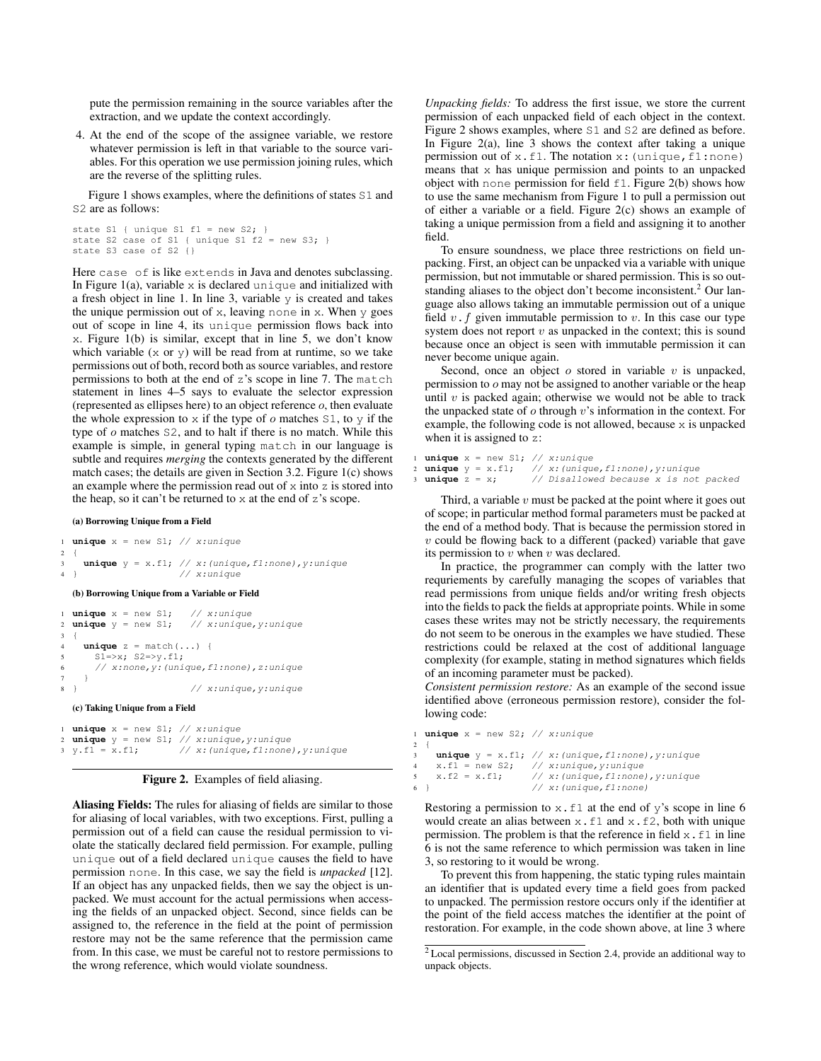pute the permission remaining in the source variables after the extraction, and we update the context accordingly.

4. At the end of the scope of the assignee variable, we restore whatever permission is left in that variable to the source variables. For this operation we use permission joining rules, which are the reverse of the splitting rules.

Figure 1 shows examples, where the definitions of states S1 and S2 are as follows:

```
state S1 { unique S1 f1 = new S2; }
state S2 case of S1 { unique S1 f2 = new S3; }
state S3 case of S2 {}
```
Here case of is like extends in Java and denotes subclassing. In Figure 1(a), variable  $x$  is declared unique and initialized with a fresh object in line 1. In line 3, variable y is created and takes the unique permission out of  $x$ , leaving none in  $x$ . When  $y$  goes out of scope in line 4, its unique permission flows back into x. Figure 1(b) is similar, except that in line 5, we don't know which variable  $(x \text{ or } y)$  will be read from at runtime, so we take permissions out of both, record both as source variables, and restore permissions to both at the end of z's scope in line 7. The match statement in lines 4–5 says to evaluate the selector expression (represented as ellipses here) to an object reference o, then evaluate the whole expression to x if the type of  $\sigma$  matches S1, to y if the type of o matches S2, and to halt if there is no match. While this example is simple, in general typing match in our language is subtle and requires *merging* the contexts generated by the different match cases; the details are given in Section 3.2. Figure 1(c) shows an example where the permission read out of  $x$  into  $z$  is stored into the heap, so it can't be returned to  $\times$  at the end of  $\times$ 's scope.

#### (a) Borrowing Unique from a Field

1 **unique**  $x = new SI$ ; //  $x: unique$  $\overline{2}$ 3 **unique**  $y = x.fit$ ; //  $x$ : (unique, f1:none),  $y$ : unique  $// x: unique$ (b) Borrowing Unique from a Variable or Field

```
1 unique x = new S1; // x:unique
2 unique y = new S1; // x:unique,y:unique
3 {
   unique z = match(...) {
     s1 = >x; s2 = >y.f1;
     // x:none, y: (unique, fl:none), z:unique
7 }
8 } // x:unique, y:unique
```
#### (c) Taking Unique from a Field

<sup>1</sup> **unique** x = new S1; // x:unique 2 **unique**  $y = new S1$ ; //  $x: unique, y: unique$ <br>3  $y.f1 = x.f1$ ; //  $x: (unique, f1: none)$ // x: (unique, f1:none), y:unique

# Figure 2. Examples of field aliasing.

Aliasing Fields: The rules for aliasing of fields are similar to those for aliasing of local variables, with two exceptions. First, pulling a permission out of a field can cause the residual permission to violate the statically declared field permission. For example, pulling unique out of a field declared unique causes the field to have permission none. In this case, we say the field is *unpacked* [12]. If an object has any unpacked fields, then we say the object is unpacked. We must account for the actual permissions when accessing the fields of an unpacked object. Second, since fields can be assigned to, the reference in the field at the point of permission restore may not be the same reference that the permission came from. In this case, we must be careful not to restore permissions to the wrong reference, which would violate soundness.

*Unpacking fields:* To address the first issue, we store the current permission of each unpacked field of each object in the context. Figure 2 shows examples, where S1 and S2 are defined as before. In Figure 2(a), line 3 shows the context after taking a unique permission out of  $x$ . f1. The notation  $x$ : (unique, f1:none) means that x has unique permission and points to an unpacked object with none permission for field  $f1$ . Figure 2(b) shows how to use the same mechanism from Figure 1 to pull a permission out of either a variable or a field. Figure 2(c) shows an example of taking a unique permission from a field and assigning it to another field.

To ensure soundness, we place three restrictions on field unpacking. First, an object can be unpacked via a variable with unique permission, but not immutable or shared permission. This is so outstanding aliases to the object don't become inconsistent.<sup>2</sup> Our language also allows taking an immutable permission out of a unique field  $v \cdot f$  given immutable permission to  $v$ . In this case our type system does not report  $v$  as unpacked in the context; this is sound because once an object is seen with immutable permission it can never become unique again.

Second, once an object  $o$  stored in variable  $v$  is unpacked, permission to o may not be assigned to another variable or the heap until  $v$  is packed again; otherwise we would not be able to track the unpacked state of  $o$  through  $v$ 's information in the context. For example, the following code is not allowed, because  $x$  is unpacked when it is assigned to z:

```
1 unique x = new S1; // x:unique
2 unique y = x.f1; // x:(unique,f1:none),y:unique
```
**unique** z = x; // Disallowed because x is not packed

Third, a variable  $v$  must be packed at the point where it goes out of scope; in particular method formal parameters must be packed at the end of a method body. That is because the permission stored in  $v$  could be flowing back to a different (packed) variable that gave its permission to  $v$  when  $v$  was declared.

In practice, the programmer can comply with the latter two requriements by carefully managing the scopes of variables that read permissions from unique fields and/or writing fresh objects into the fields to pack the fields at appropriate points. While in some cases these writes may not be strictly necessary, the requirements do not seem to be onerous in the examples we have studied. These restrictions could be relaxed at the cost of additional language complexity (for example, stating in method signatures which fields of an incoming parameter must be packed).

*Consistent permission restore:* As an example of the second issue identified above (erroneous permission restore), consider the following code:

```
1 unique x = new S2; // x:unique
2 {
3 unique y = x.f1; // x:(unique,f1:none),y:unique
4 x.f1 = new S2; // x:unique, y:unique5 x.f2 = x.f1; // x:(unique, f1:none), y:unique<br>(/ x:(union \in f1:none))
                        \frac{1}{x} (unique, fl:none)
```
Restoring a permission to  $x.f1$  at the end of y's scope in line 6 would create an alias between  $x$ . f1 and  $x$ . f2, both with unique permission. The problem is that the reference in field  $x$ .  $f1$  in line 6 is not the same reference to which permission was taken in line 3, so restoring to it would be wrong.

To prevent this from happening, the static typing rules maintain an identifier that is updated every time a field goes from packed to unpacked. The permission restore occurs only if the identifier at the point of the field access matches the identifier at the point of restoration. For example, in the code shown above, at line 3 where

<sup>2</sup> Local permissions, discussed in Section 2.4, provide an additional way to unpack objects.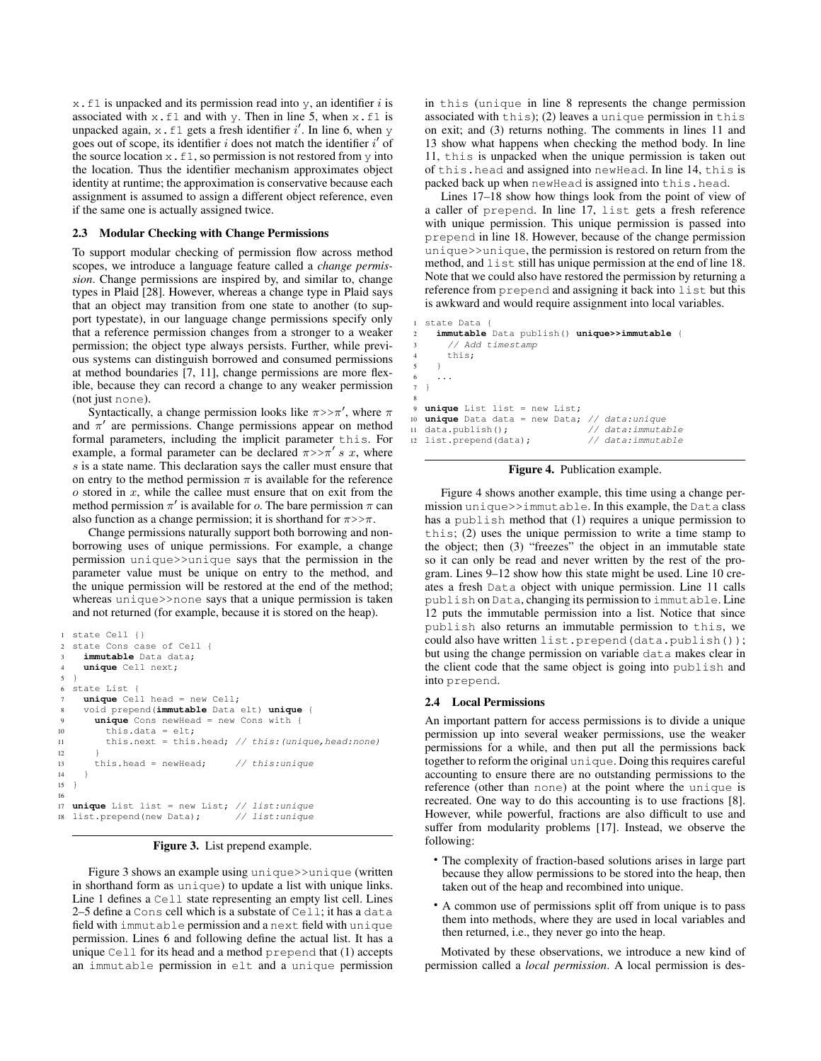$x.f1$  is unpacked and its permission read into  $y$ , an identifier i is associated with  $x.f1$  and with y. Then in line 5, when  $x.f1$  is unpacked again,  $x$ .  $f1$  gets a fresh identifier i'. In line 6, when  $y$ goes out of scope, its identifier  $i$  does not match the identifier  $i'$  of the source location  $x \cdot f1$ , so permission is not restored from  $y$  into the location. Thus the identifier mechanism approximates object identity at runtime; the approximation is conservative because each assignment is assumed to assign a different object reference, even if the same one is actually assigned twice.

# 2.3 Modular Checking with Change Permissions

To support modular checking of permission flow across method scopes, we introduce a language feature called a *change permission*. Change permissions are inspired by, and similar to, change types in Plaid [28]. However, whereas a change type in Plaid says that an object may transition from one state to another (to support typestate), in our language change permissions specify only that a reference permission changes from a stronger to a weaker permission; the object type always persists. Further, while previous systems can distinguish borrowed and consumed permissions at method boundaries [7, 11], change permissions are more flexible, because they can record a change to any weaker permission (not just none).

Syntactically, a change permission looks like  $\pi$ >> $\pi'$ , where  $\pi$ and  $\pi'$  are permissions. Change permissions appear on method formal parameters, including the implicit parameter this. For example, a formal parameter can be declared  $\pi$ >> $\pi'$  s x, where s is a state name. This declaration says the caller must ensure that on entry to the method permission  $\pi$  is available for the reference  $o$  stored in  $x$ , while the callee must ensure that on exit from the method permission  $\pi'$  is available for o. The bare permission  $\pi$  can also function as a change permission; it is shorthand for  $\pi$ > $\pi$ .

Change permissions naturally support both borrowing and nonborrowing uses of unique permissions. For example, a change permission unique>>unique says that the permission in the parameter value must be unique on entry to the method, and the unique permission will be restored at the end of the method; whereas unique>>none says that a unique permission is taken and not returned (for example, because it is stored on the heap).

```
1 state Cell {}
2 state Cons case of Cell {
    immutable Data data;
    4 unique Cell next;
5 }
6 state List {
    unique Cell head = new Cell;
    8 void prepend(immutable Data elt) unique {
9 unique Cons newHead = new Cons with {
10 this.data = elt;
11 this.next = this.head; // this: (unique, head: none)
1213 this.head = newHead: \frac{1}{2} this:unique
14 }
15 }
16
17 unique List list = new List; // list:unique
18 list.prepend(new Data); // list:unique
```
# Figure 3. List prepend example.

Figure 3 shows an example using unique>>unique (written in shorthand form as unique) to update a list with unique links. Line 1 defines a Cell state representing an empty list cell. Lines 2–5 define a Cons cell which is a substate of Cell; it has a data field with immutable permission and a next field with unique permission. Lines 6 and following define the actual list. It has a unique Cell for its head and a method prepend that (1) accepts an immutable permission in elt and a unique permission in this (unique in line 8 represents the change permission associated with this); (2) leaves a unique permission in this on exit; and (3) returns nothing. The comments in lines 11 and 13 show what happens when checking the method body. In line 11, this is unpacked when the unique permission is taken out of this.head and assigned into newHead. In line 14, this is packed back up when newHead is assigned into this.head.

Lines 17–18 show how things look from the point of view of a caller of prepend. In line 17, list gets a fresh reference with unique permission. This unique permission is passed into prepend in line 18. However, because of the change permission unique>>unique, the permission is restored on return from the method, and list still has unique permission at the end of line 18. Note that we could also have restored the permission by returning a reference from prepend and assigning it back into list but this is awkward and would require assignment into local variables.

```
state Data {
     2 immutable Data publish() unique>>immutable {
        // Add timestamp
       4 this;
     5 }
6 ...
  7 }
8
  unique List list = new List:
10 unique Data data = new Data; // data:unique
11 data.publish(); // data:immutable<br>12 list.prepend(data): // data:immutable
12 list.prepend(data);
```
#### Figure 4. Publication example.

Figure 4 shows another example, this time using a change permission unique>>immutable. In this example, the Data class has a publish method that (1) requires a unique permission to this; (2) uses the unique permission to write a time stamp to the object; then (3) "freezes" the object in an immutable state so it can only be read and never written by the rest of the program. Lines 9–12 show how this state might be used. Line 10 creates a fresh Data object with unique permission. Line 11 calls publish on Data, changing its permission to immutable. Line 12 puts the immutable permission into a list. Notice that since publish also returns an immutable permission to this, we could also have written list.prepend(data.publish()); but using the change permission on variable data makes clear in the client code that the same object is going into publish and into prepend.

#### 2.4 Local Permissions

An important pattern for access permissions is to divide a unique permission up into several weaker permissions, use the weaker permissions for a while, and then put all the permissions back together to reform the original unique. Doing this requires careful accounting to ensure there are no outstanding permissions to the reference (other than none) at the point where the unique is recreated. One way to do this accounting is to use fractions [8]. However, while powerful, fractions are also difficult to use and suffer from modularity problems [17]. Instead, we observe the following:

- The complexity of fraction-based solutions arises in large part because they allow permissions to be stored into the heap, then taken out of the heap and recombined into unique.
- A common use of permissions split off from unique is to pass them into methods, where they are used in local variables and then returned, i.e., they never go into the heap.

Motivated by these observations, we introduce a new kind of permission called a *local permission*. A local permission is des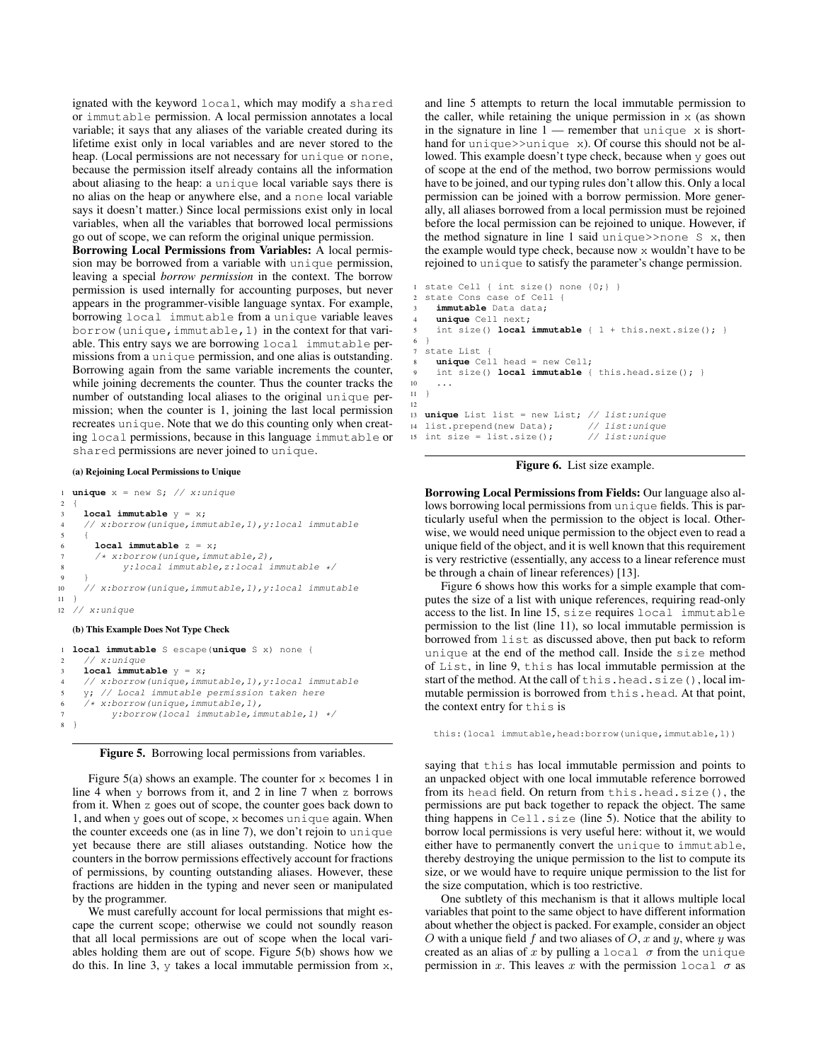ignated with the keyword local, which may modify a shared or immutable permission. A local permission annotates a local variable; it says that any aliases of the variable created during its lifetime exist only in local variables and are never stored to the heap. (Local permissions are not necessary for unique or none, because the permission itself already contains all the information about aliasing to the heap: a unique local variable says there is no alias on the heap or anywhere else, and a none local variable says it doesn't matter.) Since local permissions exist only in local variables, when all the variables that borrowed local permissions go out of scope, we can reform the original unique permission.

Borrowing Local Permissions from Variables: A local permission may be borrowed from a variable with unique permission, leaving a special *borrow permission* in the context. The borrow permission is used internally for accounting purposes, but never appears in the programmer-visible language syntax. For example, borrowing local immutable from a unique variable leaves borrow(unique,immutable,1) in the context for that variable. This entry says we are borrowing local immutable permissions from a unique permission, and one alias is outstanding. Borrowing again from the same variable increments the counter, while joining decrements the counter. Thus the counter tracks the number of outstanding local aliases to the original unique permission; when the counter is 1, joining the last local permission recreates unique. Note that we do this counting only when creating local permissions, because in this language immutable or shared permissions are never joined to unique.

#### (a) Rejoining Local Permissions to Unique

```
1 unique x = new S; // x: unique2 {
    local immutable y = x;
    // x:borrow(unique,immutable,1), y:local immutable
5 {
6 local immutable z = x;
       7 /* x:borrow(unique,immutable,2),
           8 y:local immutable,z:local immutable */
9 }
10 // x:borrow(unique,immutable, 1), y:local immutable
11 }
12 / / x: unique
```
(b) This Example Does Not Type Check

```
1 local immutable S escape(unique S x) none {
    // x:unique
   local immutable y = x;
    // x:borrow(unique,immutable,1), y:local immutable
   y; // Local immutable permission taken here
    /* x:borrow(unique, immutable, 1),7 y:borrow(local immutable,immutable,1) */
8 }
```


Figure 5(a) shows an example. The counter for x becomes 1 in line 4 when y borrows from it, and 2 in line 7 when z borrows from it. When z goes out of scope, the counter goes back down to 1, and when  $\gamma$  goes out of scope, x becomes unique again. When the counter exceeds one (as in line 7), we don't rejoin to unique yet because there are still aliases outstanding. Notice how the counters in the borrow permissions effectively account for fractions of permissions, by counting outstanding aliases. However, these fractions are hidden in the typing and never seen or manipulated by the programmer.

We must carefully account for local permissions that might escape the current scope; otherwise we could not soundly reason that all local permissions are out of scope when the local variables holding them are out of scope. Figure 5(b) shows how we do this. In line 3,  $\gamma$  takes a local immutable permission from  $x$ , and line 5 attempts to return the local immutable permission to the caller, while retaining the unique permission in  $x$  (as shown in the signature in line  $1$  — remember that unique  $x$  is shorthand for unique $>$ unique x). Of course this should not be allowed. This example doesn't type check, because when y goes out of scope at the end of the method, two borrow permissions would have to be joined, and our typing rules don't allow this. Only a local permission can be joined with a borrow permission. More generally, all aliases borrowed from a local permission must be rejoined before the local permission can be rejoined to unique. However, if the method signature in line 1 said unique>>none S x, then the example would type check, because now x wouldn't have to be rejoined to unique to satisfy the parameter's change permission.

```
state Cell { int size() none {0;} } }
2 state Cons case of Cell {
    immutable Data data;
    4 unique Cell next;
    int size() local immutable { 1 + this.next.size(); }
6 }
7 state List {
8 unique Cell head = new Cell;
    int size() local immutable { this.head.size(); }
10<sup>10</sup>11 }
12
13 unique List list = new List; // list:unique
14 list.prepend(new Data); // list:unique
15 int size = list.size(); // list: unique
```


Borrowing Local Permissions from Fields: Our language also allows borrowing local permissions from unique fields. This is particularly useful when the permission to the object is local. Otherwise, we would need unique permission to the object even to read a unique field of the object, and it is well known that this requirement is very restrictive (essentially, any access to a linear reference must be through a chain of linear references) [13].

Figure 6 shows how this works for a simple example that computes the size of a list with unique references, requiring read-only access to the list. In line 15, size requires local immutable permission to the list (line 11), so local immutable permission is borrowed from list as discussed above, then put back to reform unique at the end of the method call. Inside the size method of List, in line 9, this has local immutable permission at the start of the method. At the call of this.head.size(), local immutable permission is borrowed from this.head. At that point, the context entry for this is

this:(local immutable,head:borrow(unique,immutable,1))

saying that this has local immutable permission and points to an unpacked object with one local immutable reference borrowed from its head field. On return from this.head.size(), the permissions are put back together to repack the object. The same thing happens in Cell.size (line 5). Notice that the ability to borrow local permissions is very useful here: without it, we would either have to permanently convert the unique to immutable, thereby destroying the unique permission to the list to compute its size, or we would have to require unique permission to the list for the size computation, which is too restrictive.

One subtlety of this mechanism is that it allows multiple local variables that point to the same object to have different information about whether the object is packed. For example, consider an object O with a unique field  $f$  and two aliases of  $O$ ,  $x$  and  $y$ , where  $y$  was created as an alias of x by pulling a local  $\sigma$  from the unique permission in x. This leaves x with the permission local  $\sigma$  as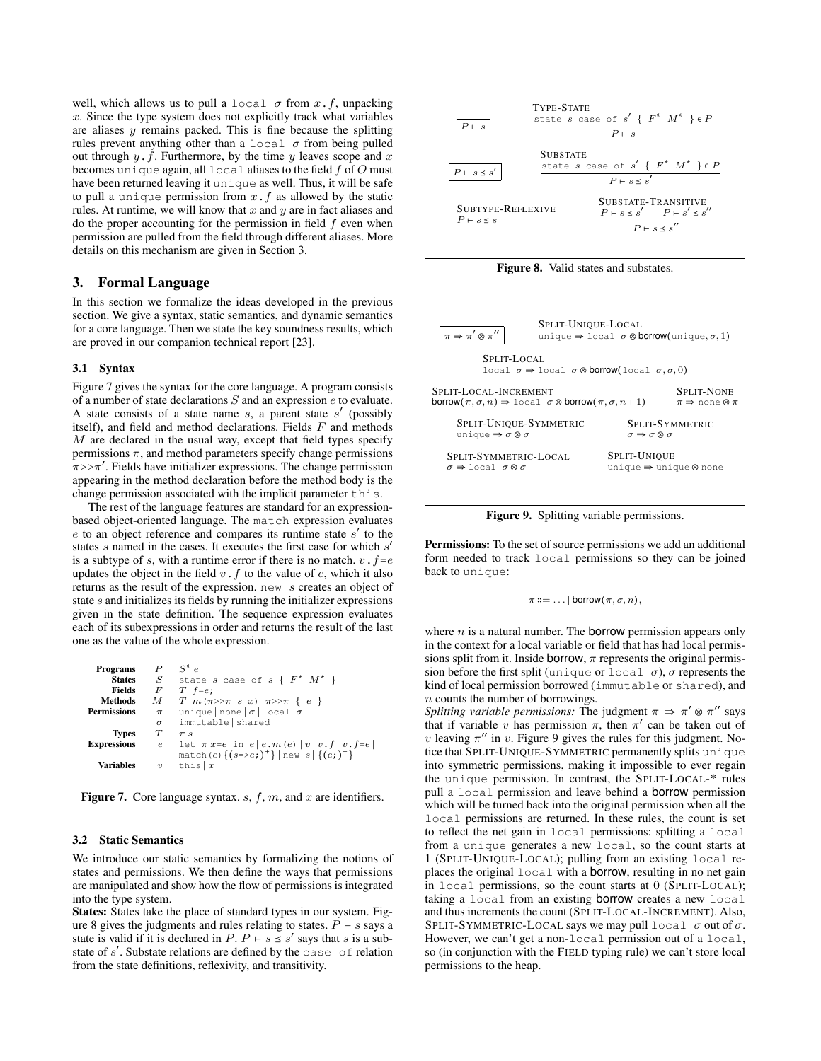well, which allows us to pull a local  $\sigma$  from  $x \cdot f$ , unpacking  $x$ . Since the type system does not explicitly track what variables are aliases  $y$  remains packed. This is fine because the splitting rules prevent anything other than a  $\text{local} \ \sigma$  from being pulled out through  $y \cdot f$ . Furthermore, by the time y leaves scope and x becomes unique again, all  $1$ ocal aliases to the field  $f$  of  $O$  must have been returned leaving it unique as well. Thus, it will be safe to pull a unique permission from  $x.f$  as allowed by the static rules. At runtime, we will know that  $x$  and  $y$  are in fact aliases and do the proper accounting for the permission in field  $f$  even when permission are pulled from the field through different aliases. More details on this mechanism are given in Section 3.

# 3. Formal Language

In this section we formalize the ideas developed in the previous section. We give a syntax, static semantics, and dynamic semantics for a core language. Then we state the key soundness results, which are proved in our companion technical report [23].

### 3.1 Syntax

Figure 7 gives the syntax for the core language. A program consists of a number of state declarations S and an expression e to evaluate. A state consists of a state name  $s$ , a parent state  $s'$  (possibly itself), and field and method declarations. Fields  $F$  and methods  $M$  are declared in the usual way, except that field types specify permissions  $\pi$ , and method parameters specify change permissions  $\pi$ >> $\pi'$ . Fields have initializer expressions. The change permission appearing in the method declaration before the method body is the change permission associated with the implicit parameter this.

The rest of the language features are standard for an expressionbased object-oriented language. The match expression evaluates  $e$  to an object reference and compares its runtime state  $s'$  to the states s named in the cases. It executes the first case for which s' is a subtype of s, with a runtime error if there is no match.  $v \cdot f = e$ updates the object in the field  $v \cdot f$  to the value of  $e$ , which it also returns as the result of the expression. new s creates an object of state s and initializes its fields by running the initializer expressions given in the state definition. The sequence expression evaluates each of its subexpressions in order and returns the result of the last one as the value of the whole expression.

| Programs    | $P$   | $S^* e$                                               |
|-------------|-------|-------------------------------------------------------|
| States      | $S$   | state $s$ case of $s$ { $F^*$ $M^*$ }                 |
| Fields      | $F$   | $T$ $f=e$ ;                                           |
| Methods     | $M$   | $T$ $m(\pi \gg \pi s x)$ $\pi \gg \pi$ { $e$ }        |
| Permissions | $\pi$ | unitable   $\pi$  local $\sigma$                      |
| Types       | $T$   | $\pi s$                                               |
| Expression  | $e$   | let $\pi x = e$ in $e   e.m(e)   v   v.f   v.f = e  $ |
| Variables   | $v$   | this   $x$                                            |

Figure 7. Core language syntax.  $s, f, m$ , and  $x$  are identifiers.

# 3.2 Static Semantics

We introduce our static semantics by formalizing the notions of states and permissions. We then define the ways that permissions are manipulated and show how the flow of permissions is integrated into the type system.

States: States take the place of standard types in our system. Figure 8 gives the judgments and rules relating to states.  $P \vdash s$  says a state is valid if it is declared in  $P$ .  $P \vdash s \leq s'$  says that s is a substate of  $s'$ . Substate relations are defined by the case of relation from the state definitions, reflexivity, and transitivity.





| $\pi \Rightarrow \pi' \otimes \pi''$                                                                              | SPLIT-UNIQUE-LOCAL | unique $\Rightarrow$ local $\sigma \otimes$ borrow(unique, $\sigma$ , 1) |                                                           |
|-------------------------------------------------------------------------------------------------------------------|--------------------|--------------------------------------------------------------------------|-----------------------------------------------------------|
| SPLIT-LOCAL<br>local $\sigma \Rightarrow$ local $\sigma \otimes$ borrow(local $\sigma, \sigma, 0$ )               |                    |                                                                          |                                                           |
| SPLIT-LOCAL-INCREMENT<br>borrow $(\pi, \sigma, n) \Rightarrow$ local $\sigma \otimes$ borrow $(\pi, \sigma, n+1)$ |                    |                                                                          | <b>SPLIT-NONE</b><br>$\pi \Rightarrow$ none $\otimes \pi$ |
| SPLIT-UNIOUE-SYMMETRIC<br>unique $\Rightarrow$ $\sigma \otimes \sigma$                                            |                    | <b>SPLIT-SYMMETRIC</b><br>$\sigma \Rightarrow \sigma \otimes \sigma$     |                                                           |
| SPLIT-SYMMETRIC-LOCAL<br>$\sigma \Rightarrow$ local $\sigma \otimes \sigma$                                       |                    | <b>SPLIT-UNIOUE</b><br>unique $\Rightarrow$ unique $\otimes$ none        |                                                           |



Permissions: To the set of source permissions we add an additional form needed to track local permissions so they can be joined back to unique:

 $\pi ::= \dots |$  borrow $(\pi, \sigma, n),$ 

where  $n$  is a natural number. The **borrow** permission appears only in the context for a local variable or field that has had local permissions split from it. Inside borrow,  $\pi$  represents the original permission before the first split (unique or local  $\sigma$ ),  $\sigma$  represents the kind of local permission borrowed (immutable or shared), and n counts the number of borrowings.

*Splitting variable permissions:* The judgment  $\pi \Rightarrow \pi' \otimes \pi''$  says that if variable v has permission  $\pi$ , then  $\pi'$  can be taken out of v leaving  $\pi''$  in v. Figure 9 gives the rules for this judgment. Notice that SPLIT-UNIQUE-SYMMETRIC permanently splits unique into symmetric permissions, making it impossible to ever regain the unique permission. In contrast, the SPLIT-LOCAL-\* rules pull a local permission and leave behind a borrow permission which will be turned back into the original permission when all the local permissions are returned. In these rules, the count is set to reflect the net gain in local permissions: splitting a local from a unique generates a new local, so the count starts at 1 (SPLIT-UNIQUE-LOCAL); pulling from an existing local replaces the original local with a borrow, resulting in no net gain in local permissions, so the count starts at 0 (SPLIT-LOCAL); taking a local from an existing borrow creates a new local and thus increments the count (SPLIT-LOCAL-INCREMENT). Also, SPLIT-SYMMETRIC-LOCAL says we may pull local  $\sigma$  out of  $\sigma$ . However, we can't get a non-local permission out of a local, so (in conjunction with the FIELD typing rule) we can't store local permissions to the heap.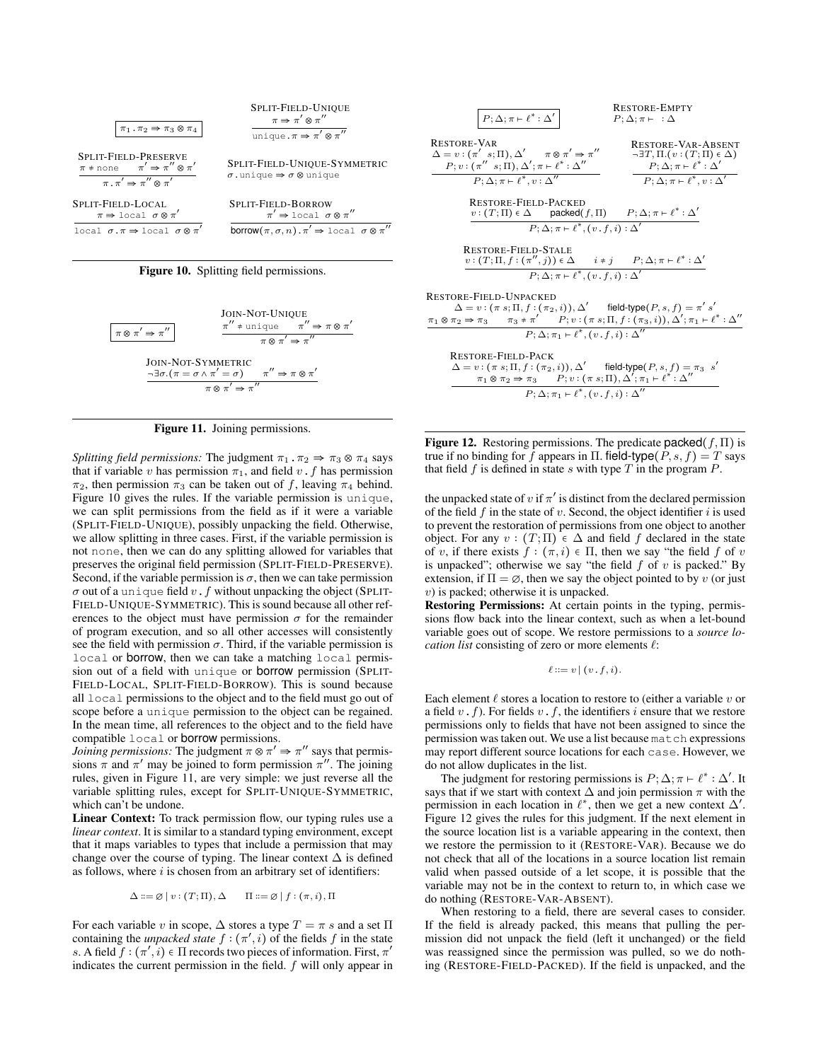





Figure 11. Joining permissions.

*Splitting field permissions:* The judgment  $\pi_1 \cdot \pi_2 \Rightarrow \pi_3 \otimes \pi_4$  says that if variable v has permission  $\pi_1$ , and field v.f has permission  $\pi_2$ , then permission  $\pi_3$  can be taken out of f, leaving  $\pi_4$  behind. Figure 10 gives the rules. If the variable permission is unique, we can split permissions from the field as if it were a variable (SPLIT-FIELD-UNIQUE), possibly unpacking the field. Otherwise, we allow splitting in three cases. First, if the variable permission is not none, then we can do any splitting allowed for variables that preserves the original field permission (SPLIT-FIELD-PRESERVE). Second, if the variable permission is  $\sigma$ , then we can take permission  $\sigma$  out of a unique field  $v$ . f without unpacking the object (SPLIT-FIELD-UNIQUE-SYMMETRIC). This is sound because all other references to the object must have permission  $\sigma$  for the remainder of program execution, and so all other accesses will consistently see the field with permission  $\sigma$ . Third, if the variable permission is local or borrow, then we can take a matching local permission out of a field with unique or borrow permission (SPLIT-FIELD-LOCAL, SPLIT-FIELD-BORROW). This is sound because all local permissions to the object and to the field must go out of scope before a unique permission to the object can be regained. In the mean time, all references to the object and to the field have compatible local or borrow permissions.

*Joining permissions:* The judgment  $\pi \otimes \pi' \Rightarrow \pi''$  says that permissions  $\pi$  and  $\pi'$  may be joined to form permission  $\pi''$ . The joining rules, given in Figure 11, are very simple: we just reverse all the variable splitting rules, except for SPLIT-UNIQUE-SYMMETRIC, which can't be undone.

Linear Context: To track permission flow, our typing rules use a *linear context*. It is similar to a standard typing environment, except that it maps variables to types that include a permission that may change over the course of typing. The linear context  $\Delta$  is defined as follows, where  $i$  is chosen from an arbitrary set of identifiers:

$$
\Delta ::= \varnothing \mid v : (T; \Pi), \Delta \qquad \Pi ::= \varnothing \mid f : (\pi, i), \Pi
$$

For each variable v in scope,  $\Delta$  stores a type  $T = \pi s$  and a set  $\Pi$ containing the *unpacked state*  $f : (\pi', i)$  of the fields f in the state s. A field  $f : (\pi', i) \in \Pi$  records two pieces of information. First,  $\pi'$ indicates the current permission in the field.  $f$  will only appear in

| $P; \Delta; \pi \vdash \ell^* : \Delta'$                                   | RESTORE-EMPTY                                   |                                                                                    |                                          |
|----------------------------------------------------------------------------|-------------------------------------------------|------------------------------------------------------------------------------------|------------------------------------------|
| $\Delta = v : (\pi', s; \Pi), \Delta', \pi \otimes \pi' \Rightarrow \pi''$ | RESTORE-VAR                                     |                                                                                    |                                          |
| $P; v : (\pi'', s; \Pi), \Delta', \pi \vdash \ell^* : \Delta''$            | $\neg T, \Pi, (v : (T; \Pi) \in \Delta)$        |                                                                                    |                                          |
| $P; v : (\pi'', s; \Pi), \Delta'; \pi \vdash \ell^* : \Delta''$            | $\neg T, \Pi, (v : (T; \Pi) \in \Delta)$        |                                                                                    |                                          |
| $P; \Delta; \pi \vdash \ell^*, v : \Delta''$                               | $P; \Delta; \pi \vdash \ell^* : \Delta'$        |                                                                                    |                                          |
| RESTORE- FIELD-RACTED                                                      | $v : (T; \Pi) \in \Delta$ packed( $f, \Pi$ )    | $P; \Delta; \pi \vdash \ell^* : \Delta'$                                           |                                          |
| $P; \Delta; \pi \vdash \ell^*, v : \Delta'$                                | $P; \Delta; \pi \vdash \ell^* : \Delta'$        |                                                                                    |                                          |
| RESTORE-FIED-STATE                                                         | $v : (T; \Pi, f : (\pi'', j)) \in \Delta$       | $i \neq j$                                                                         | $P; \Delta; \pi \vdash \ell^* : \Delta'$ |
| RESTORE-FIED-UNPACLE                                                       | $v : (\pi, s; \Pi, f : (\pi_2, i))$ , $\Delta'$ | field-type( $P, s, f$ ) = $\pi' s'$                                                |                                          |
| $\pi_1 \otimes \pi_2 \Rightarrow \pi_3$                                    | $\pi_3 \neq \pi'$                               | $P; v : (\pi, s; \Pi, f : (\pi_3, i))$ , $\Delta'; \pi_1 \vdash \ell^* : \Delta''$ |                                          |
| RESTORE-FIED-PACK                                                          | $\Delta = v : (\pi, s; \Pi, f : (\pi_$          |                                                                                    |                                          |

**Figure 12.** Restoring permissions. The predicate packed( $f$ ,  $\Pi$ ) is true if no binding for f appears in Π. field-type( $P, s, f$ ) = T says that field  $f$  is defined in state  $s$  with type  $T$  in the program  $P$ .

the unpacked state of v if  $\pi'$  is distinct from the declared permission of the field f in the state of v. Second, the object identifier i is used to prevent the restoration of permissions from one object to another object. For any  $v : (T;\Pi) \in \Delta$  and field f declared in the state of v, if there exists  $f : (\pi, i) \in \Pi$ , then we say "the field f of v is unpacked"; otherwise we say "the field  $f$  of  $v$  is packed." By extension, if  $\Pi = \emptyset$ , then we say the object pointed to by v (or just v) is packed; otherwise it is unpacked.

Restoring Permissions: At certain points in the typing, permissions flow back into the linear context, such as when a let-bound variable goes out of scope. We restore permissions to a *source location list* consisting of zero or more elements  $\ell$ :

$$
\ell ::= v \mid (v \cdot f, i).
$$

Each element  $\ell$  stores a location to restore to (either a variable  $v$  or a field  $v$ , f). For fields  $v$ , f, the identifiers i ensure that we restore permissions only to fields that have not been assigned to since the permission was taken out. We use a list because match expressions may report different source locations for each case. However, we do not allow duplicates in the list.

The judgment for restoring permissions is  $P; \Delta; \pi \vdash \ell^* : \Delta'$ . It says that if we start with context  $\Delta$  and join permission  $\pi$  with the permission in each location in  $\ell^*$ , then we get a new context  $\Delta'$ . Figure 12 gives the rules for this judgment. If the next element in the source location list is a variable appearing in the context, then we restore the permission to it (RESTORE-VAR). Because we do not check that all of the locations in a source location list remain valid when passed outside of a let scope, it is possible that the variable may not be in the context to return to, in which case we do nothing (RESTORE-VAR-ABSENT).

When restoring to a field, there are several cases to consider. If the field is already packed, this means that pulling the permission did not unpack the field (left it unchanged) or the field was reassigned since the permission was pulled, so we do nothing (RESTORE-FIELD-PACKED). If the field is unpacked, and the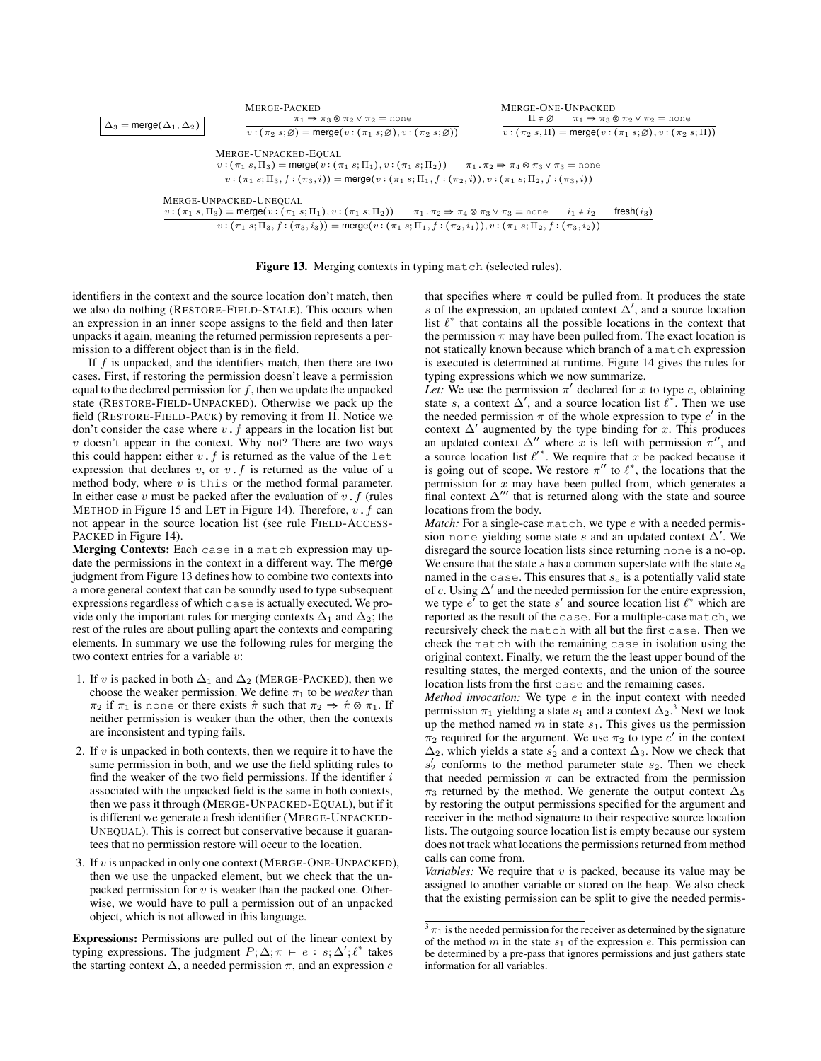



identifiers in the context and the source location don't match, then we also do nothing (RESTORE-FIELD-STALE). This occurs when an expression in an inner scope assigns to the field and then later unpacks it again, meaning the returned permission represents a permission to a different object than is in the field.

If f is unpacked, and the identifiers match, then there are two cases. First, if restoring the permission doesn't leave a permission equal to the declared permission for  $f$ , then we update the unpacked state (RESTORE-FIELD-UNPACKED). Otherwise we pack up the field (RESTORE-FIELD-PACK) by removing it from Π. Notice we don't consider the case where  $v \cdot f$  appears in the location list but  $v$  doesn't appear in the context. Why not? There are two ways this could happen: either  $v \cdot f$  is returned as the value of the let expression that declares  $v$ , or  $v \cdot f$  is returned as the value of a method body, where  $v$  is this or the method formal parameter. In either case  $v$  must be packed after the evaluation of  $v$ .  $f$  (rules METHOD in Figure 15 and LET in Figure 14). Therefore,  $v \cdot f$  can not appear in the source location list (see rule FIELD-ACCESS-PACKED in Figure 14).

Merging Contexts: Each case in a match expression may update the permissions in the context in a different way. The merge judgment from Figure 13 defines how to combine two contexts into a more general context that can be soundly used to type subsequent expressions regardless of which case is actually executed. We provide only the important rules for merging contexts  $\Delta_1$  and  $\Delta_2$ ; the rest of the rules are about pulling apart the contexts and comparing elements. In summary we use the following rules for merging the two context entries for a variable v:

- 1. If v is packed in both  $\Delta_1$  and  $\Delta_2$  (MERGE-PACKED), then we choose the weaker permission. We define  $\pi_1$  to be *weaker* than  $\pi_2$  if  $\pi_1$  is none or there exists  $\hat{\pi}$  such that  $\pi_2 \Rightarrow \hat{\pi} \otimes \pi_1$ . If neither permission is weaker than the other, then the contexts are inconsistent and typing fails.
- 2. If  $v$  is unpacked in both contexts, then we require it to have the same permission in both, and we use the field splitting rules to find the weaker of the two field permissions. If the identifier  $i$ associated with the unpacked field is the same in both contexts, then we pass it through (MERGE-UNPACKED-EQUAL), but if it is different we generate a fresh identifier (MERGE-UNPACKED-UNEQUAL). This is correct but conservative because it guarantees that no permission restore will occur to the location.
- 3. If  $v$  is unpacked in only one context (MERGE-ONE-UNPACKED), then we use the unpacked element, but we check that the unpacked permission for  $v$  is weaker than the packed one. Otherwise, we would have to pull a permission out of an unpacked object, which is not allowed in this language.

Expressions: Permissions are pulled out of the linear context by typing expressions. The judgment  $P; \Delta; \pi \vdash e : s; \Delta'; \ell^*$  takes the starting context  $\Delta$ , a needed permission  $\pi$ , and an expression e

that specifies where  $\pi$  could be pulled from. It produces the state s of the expression, an updated context  $\Delta'$ , and a source location list  $\ell^*$  that contains all the possible locations in the context that the permission  $\pi$  may have been pulled from. The exact location is not statically known because which branch of a match expression is executed is determined at runtime. Figure 14 gives the rules for typing expressions which we now summarize.

Let: We use the permission  $\pi'$  declared for x to type e, obtaining state s, a context  $\Delta'$ , and a source location list  $\ell^*$ . Then we use the needed permission  $\pi$  of the whole expression to type  $e'$  in the context  $\Delta'$  augmented by the type binding for x. This produces an updated context  $\Delta''$  where x is left with permission  $\pi''$ , and a source location list  $\ell^*$ . We require that x be packed because it is going out of scope. We restore  $\pi''$  to  $\ell^*$ , the locations that the permission for  $x$  may have been pulled from, which generates a final context  $\Delta$ <sup>'''</sup> that is returned along with the state and source locations from the body.

*Match:* For a single-case match, we type e with a needed permission none yielding some state s and an updated context  $\Delta'$ . We disregard the source location lists since returning none is a no-op. We ensure that the state  $s$  has a common superstate with the state  $s_c$ named in the case. This ensures that  $s_c$  is a potentially valid state of e. Using  $\Delta'$  and the needed permission for the entire expression, we type  $e^{\overline{t}}$  to get the state s' and source location list  $\ell^*$  which are reported as the result of the case. For a multiple-case match, we recursively check the match with all but the first case. Then we check the match with the remaining case in isolation using the original context. Finally, we return the the least upper bound of the resulting states, the merged contexts, and the union of the source location lists from the first case and the remaining cases.

*Method invocation:* We type e in the input context with needed permission  $\pi_1$  yielding a state  $s_1$  and a context  $\Delta_2$ .<sup>3</sup> Next we look up the method named m in state  $s_1$ . This gives us the permission  $\pi_2$  required for the argument. We use  $\pi_2$  to type e' in the context  $\Delta_2$ , which yields a state  $s'_2$  and a context  $\Delta_3$ . Now we check that  $s'_2$  conforms to the method parameter state  $s_2$ . Then we check that needed permission  $\pi$  can be extracted from the permission  $\pi_3$  returned by the method. We generate the output context  $\Delta_5$ by restoring the output permissions specified for the argument and receiver in the method signature to their respective source location lists. The outgoing source location list is empty because our system does not track what locations the permissions returned from method calls can come from.

*Variables:* We require that  $v$  is packed, because its value may be assigned to another variable or stored on the heap. We also check that the existing permission can be split to give the needed permis-

 $3\pi_1$  is the needed permission for the receiver as determined by the signature of the method m in the state  $s_1$  of the expression e. This permission can be determined by a pre-pass that ignores permissions and just gathers state information for all variables.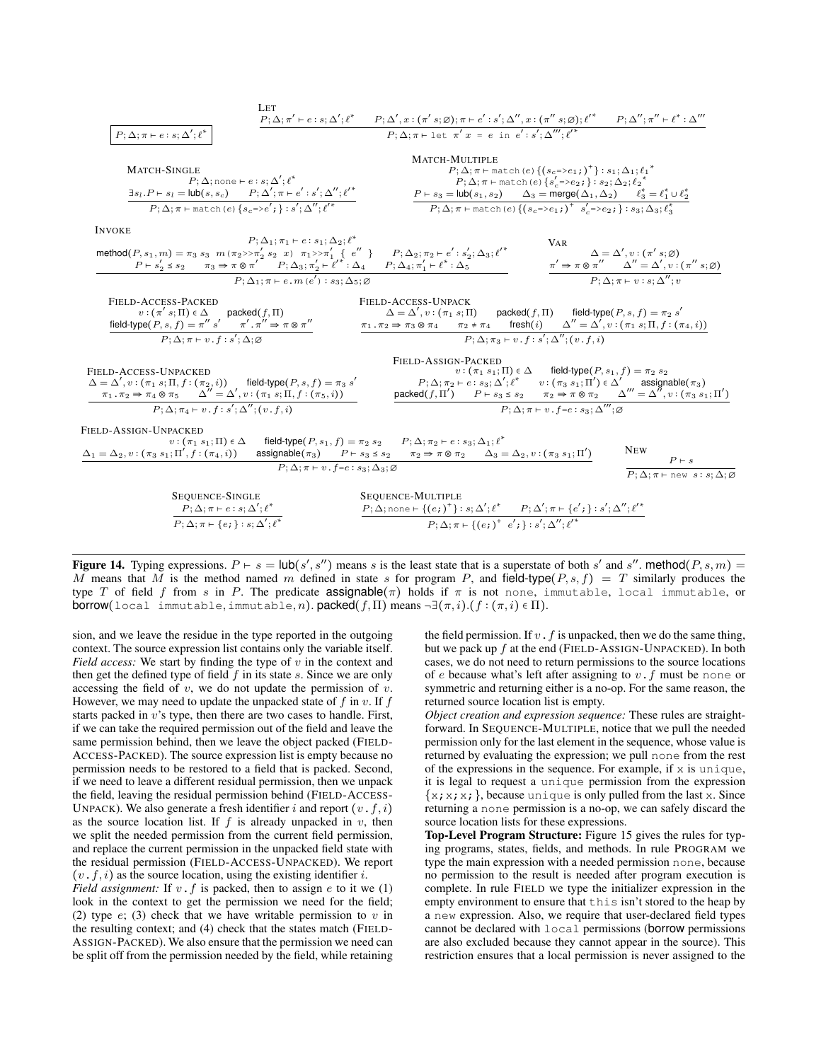

**Figure 14.** Typing expressions.  $P \vdash s = \text{lub}(s', s'')$  means s is the least state that is a superstate of both s' and s''. method $(P, s, m) =$ M means that M is the method named m defined in state s for program P, and field-type( $P, s, f$ ) = T similarly produces the type T of field f from s in P. The predicate assignable( $\pi$ ) holds if  $\pi$  is not none, immutable, local immutable, or **borrow**(local immutable, immutable, n). **packed** $(f,\Pi)$  means  $\neg \exists (\pi,i) \cdot (f : (\pi,i) \in \Pi)$ .

sion, and we leave the residue in the type reported in the outgoing context. The source expression list contains only the variable itself. *Field access:* We start by finding the type of  $v$  in the context and then get the defined type of field  $f$  in its state  $s$ . Since we are only accessing the field of  $v$ , we do not update the permission of  $v$ . However, we may need to update the unpacked state of  $f$  in  $v$ . If  $f$ starts packed in v's type, then there are two cases to handle. First, if we can take the required permission out of the field and leave the same permission behind, then we leave the object packed (FIELD-ACCESS-PACKED). The source expression list is empty because no permission needs to be restored to a field that is packed. Second, if we need to leave a different residual permission, then we unpack the field, leaving the residual permission behind (FIELD-ACCESS-UNPACK). We also generate a fresh identifier i and report  $(v, f, i)$ as the source location list. If  $f$  is already unpacked in  $v$ , then we split the needed permission from the current field permission, and replace the current permission in the unpacked field state with the residual permission (FIELD-ACCESS-UNPACKED). We report  $(v, f, i)$  as the source location, using the existing identifier *i*.

*Field assignment:* If  $v \cdot f$  is packed, then to assign  $e$  to it we (1) look in the context to get the permission we need for the field; (2) type  $e$ ; (3) check that we have writable permission to v in the resulting context; and (4) check that the states match (FIELD-ASSIGN-PACKED). We also ensure that the permission we need can be split off from the permission needed by the field, while retaining

the field permission. If  $v \cdot f$  is unpacked, then we do the same thing, but we pack up f at the end (FIELD-ASSIGN-UNPACKED). In both cases, we do not need to return permissions to the source locations of e because what's left after assigning to  $v \cdot f$  must be none or symmetric and returning either is a no-op. For the same reason, the returned source location list is empty.

*Object creation and expression sequence:* These rules are straightforward. In SEQUENCE-MULTIPLE, notice that we pull the needed permission only for the last element in the sequence, whose value is returned by evaluating the expression; we pull none from the rest of the expressions in the sequence. For example, if  $x$  is unique, it is legal to request a unique permission from the expression  $\{x; x; x; \}$ , because unique is only pulled from the last x. Since returning a none permission is a no-op, we can safely discard the source location lists for these expressions.

Top-Level Program Structure: Figure 15 gives the rules for typing programs, states, fields, and methods. In rule PROGRAM we type the main expression with a needed permission none, because no permission to the result is needed after program execution is complete. In rule FIELD we type the initializer expression in the empty environment to ensure that this isn't stored to the heap by a new expression. Also, we require that user-declared field types cannot be declared with local permissions (borrow permissions are also excluded because they cannot appear in the source). This restriction ensures that a local permission is never assigned to the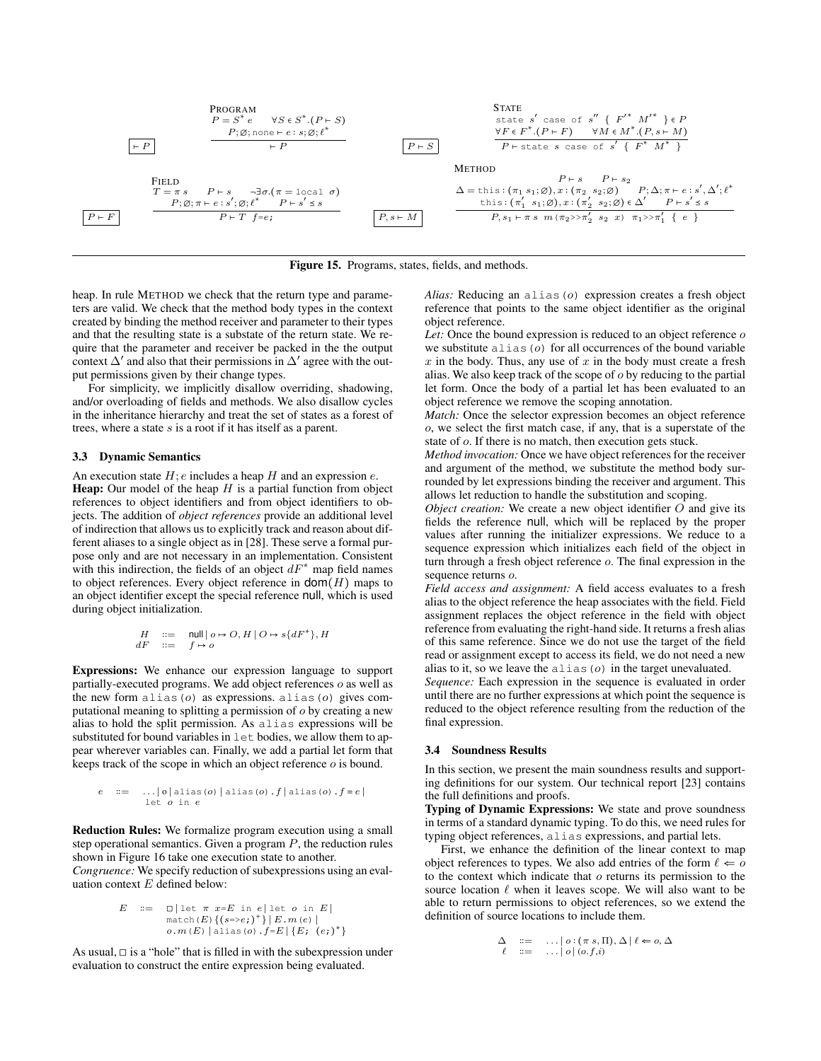

Figure 15. Programs, states, fields, and methods.

heap. In rule METHOD we check that the return type and parameters are valid. We check that the method body types in the context created by binding the method receiver and parameter to their types and that the resulting state is a substate of the return state. We require that the parameter and receiver be packed in the the output context  $\Delta'$  and also that their permissions in  $\Delta'$  agree with the output permissions given by their change types.

For simplicity, we implicitly disallow overriding, shadowing, and/or overloading of fields and methods. We also disallow cycles in the inheritance hierarchy and treat the set of states as a forest of trees, where a state s is a root if it has itself as a parent.

# 3.3 Dynamic Semantics

An execution state  $H$ ;  $e$  includes a heap  $H$  and an expression  $e$ .

**Heap:** Our model of the heap  $H$  is a partial function from object references to object identifiers and from object identifiers to objects. The addition of *object references* provide an additional level of indirection that allows us to explicitly track and reason about different aliases to a single object as in [28]. These serve a formal purpose only and are not necessary in an implementation. Consistent with this indirection, the fields of an object  $dF^*$  map field names to object references. Every object reference in  $\text{dom}(H)$  maps to an object identifier except the special reference null, which is used during object initialization.

$$
H \quad ::= \quad \text{null} \mid o \mapsto O, H \mid O \mapsto s\{dF^*\}, H
$$
  

$$
dF \quad ::= \quad f \mapsto o
$$

Expressions: We enhance our expression language to support partially-executed programs. We add object references o as well as the new form alias ( $o$ ) as expressions. alias ( $o$ ) gives computational meaning to splitting a permission of o by creating a new alias to hold the split permission. As alias expressions will be substituted for bound variables in let bodies, we allow them to appear wherever variables can. Finally, we add a partial let form that keeps track of the scope in which an object reference o is bound.

$$
e \quad ::= \quad \ldots \mid o \mid \text{alias}(o) \mid \text{alias}(o) \cdot f \mid \text{alias}(o) \cdot f = e \mid
$$
\n
$$
\text{let } o \text{ in } e
$$

Reduction Rules: We formalize program execution using a small step operational semantics. Given a program  $P$ , the reduction rules shown in Figure 16 take one execution state to another. *Congruence:* We specify reduction of subexpressions using an eval-

uation context  $E$  defined below:

$$
E \quad ::= \quad \square \mid \text{let } \pi \ x = E \text{ in } e \mid \text{let } o \text{ in } E \mid
$$
\n
$$
\text{match}(E) \left\{ (s \Rightarrow e) \right\} \mid E \cdot m(e) \mid
$$
\n
$$
o \cdot m(E) \mid \text{alias}(o) \cdot f = E \mid \{ E \colon (e) \right\} \nmid
$$

As usual,  $\Box$  is a "hole" that is filled in with the subexpression under evaluation to construct the entire expression being evaluated.

*Alias:* Reducing an alias (o) expression creates a fresh object reference that points to the same object identifier as the original object reference.

*Let:* Once the bound expression is reduced to an object reference o we substitute  $a\text{lias}(o)$  for all occurrences of the bound variable  $x$  in the body. Thus, any use of  $x$  in the body must create a fresh alias. We also keep track of the scope of  $\sigma$  by reducing to the partial let form. Once the body of a partial let has been evaluated to an object reference we remove the scoping annotation.

*Match:* Once the selector expression becomes an object reference o, we select the first match case, if any, that is a superstate of the state of o. If there is no match, then execution gets stuck.

*Method invocation:* Once we have object references for the receiver and argument of the method, we substitute the method body surrounded by let expressions binding the receiver and argument. This allows let reduction to handle the substitution and scoping.

*Object creation:* We create a new object identifier O and give its fields the reference null, which will be replaced by the proper values after running the initializer expressions. We reduce to a sequence expression which initializes each field of the object in turn through a fresh object reference o. The final expression in the sequence returns o.

*Field access and assignment:* A field access evaluates to a fresh alias to the object reference the heap associates with the field. Field assignment replaces the object reference in the field with object reference from evaluating the right-hand side. It returns a fresh alias of this same reference. Since we do not use the target of the field read or assignment except to access its field, we do not need a new alias to it, so we leave the  $\alpha$ lias (*o*) in the target unevaluated.

*Sequence:* Each expression in the sequence is evaluated in order until there are no further expressions at which point the sequence is reduced to the object reference resulting from the reduction of the final expression.

# 3.4 Soundness Results

In this section, we present the main soundness results and supporting definitions for our system. Our technical report [23] contains the full definitions and proofs.

Typing of Dynamic Expressions: We state and prove soundness in terms of a standard dynamic typing. To do this, we need rules for typing object references, alias expressions, and partial lets.

First, we enhance the definition of the linear context to map object references to types. We also add entries of the form  $\ell \Leftarrow o$ to the context which indicate that o returns its permission to the source location  $\ell$  when it leaves scope. We will also want to be able to return permissions to object references, so we extend the definition of source locations to include them.

$$
\Delta \quad ::= \quad \dots \mid o : (\pi \ s, \Pi), \Delta \mid \ell \Leftarrow o, \Delta
$$
  

$$
\ell \quad ::= \quad \dots \mid o \mid (o \ f, i)
$$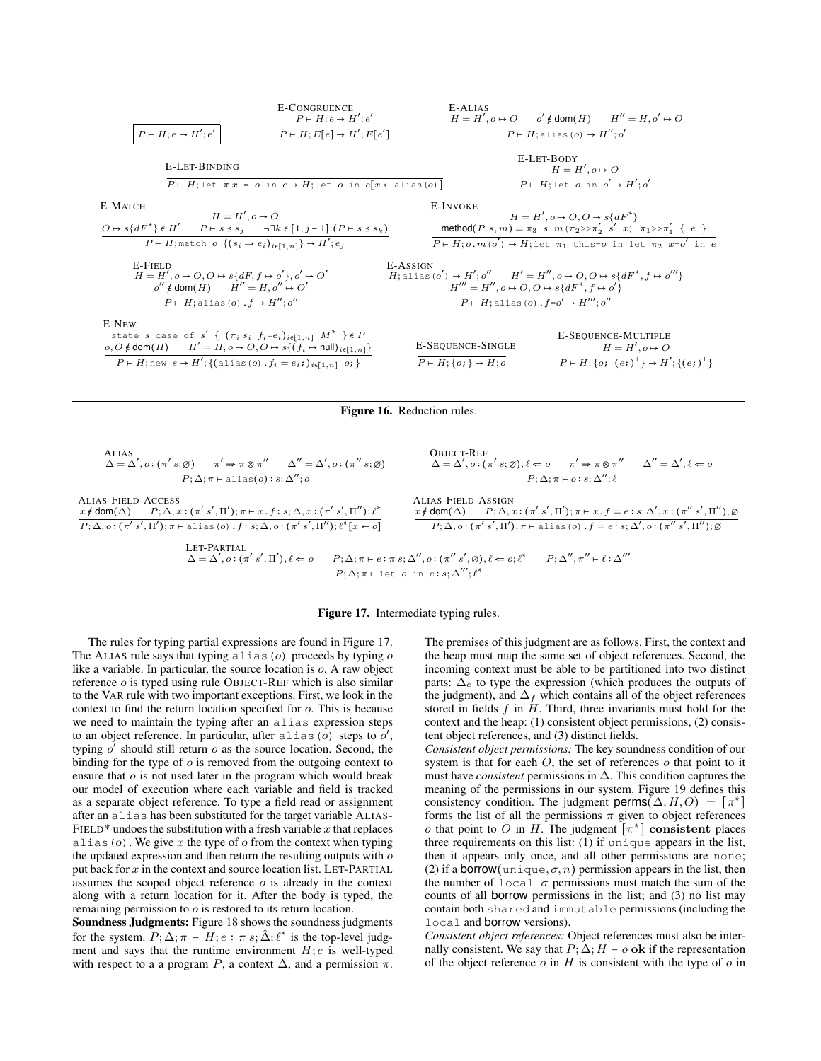







The rules for typing partial expressions are found in Figure 17. The ALIAS rule says that typing alias ( $o$ ) proceeds by typing  $o$ like a variable. In particular, the source location is o. A raw object reference o is typed using rule OBJECT-REF which is also similar to the VAR rule with two important exceptions. First, we look in the context to find the return location specified for o. This is because we need to maintain the typing after an alias expression steps to an object reference. In particular, after alias ( $o$ ) steps to  $o'$ , typing  $o'$  should still return  $o$  as the source location. Second, the binding for the type of  $o$  is removed from the outgoing context to ensure that  $o$  is not used later in the program which would break our model of execution where each variable and field is tracked as a separate object reference. To type a field read or assignment after an alias has been substituted for the target variable ALIAS-FIELD\* undoes the substitution with a fresh variable  $x$  that replaces alias ( $o$ ). We give x the type of  $o$  from the context when typing the updated expression and then return the resulting outputs with  $o$ put back for  $x$  in the context and source location list. LET-PARTIAL assumes the scoped object reference  $o$  is already in the context along with a return location for it. After the body is typed, the remaining permission to o is restored to its return location.

Soundness Judgments: Figure 18 shows the soundness judgments for the system.  $P; \Delta; \pi \vdash H; e : \pi s; \hat{\Delta}; \ell^*$  is the top-level judgment and says that the runtime environment  $H$ ;  $e$  is well-typed with respect to a a program P, a context  $\Delta$ , and a permission  $\pi$ .

The premises of this judgment are as follows. First, the context and the heap must map the same set of object references. Second, the incoming context must be able to be partitioned into two distinct parts:  $\Delta_e$  to type the expression (which produces the outputs of the judgment), and  $\Delta_f$  which contains all of the object references stored in fields  $f$  in  $H$ . Third, three invariants must hold for the context and the heap: (1) consistent object permissions, (2) consistent object references, and (3) distinct fields.

*Consistent object permissions:* The key soundness condition of our system is that for each  $O$ , the set of references  $o$  that point to it must have *consistent* permissions in ∆. This condition captures the meaning of the permissions in our system. Figure 19 defines this consistency condition. The judgment perms $(\Delta, H, O) = [\pi^*]$ forms the list of all the permissions  $\pi$  given to object references o that point to O in H. The judgment  $[\pi^*]$  consistent places three requirements on this list: (1) if unique appears in the list, then it appears only once, and all other permissions are none; (2) if a borrow(unique,  $\sigma$ , n) permission appears in the list, then the number of  $\log 1$   $\sigma$  permissions must match the sum of the counts of all borrow permissions in the list; and (3) no list may contain both shared and immutable permissions (including the local and borrow versions).

*Consistent object references:* Object references must also be internally consistent. We say that  $P$ ;  $\Delta$ ;  $H \vdash o$  ok if the representation of the object reference  $o$  in  $H$  is consistent with the type of  $o$  in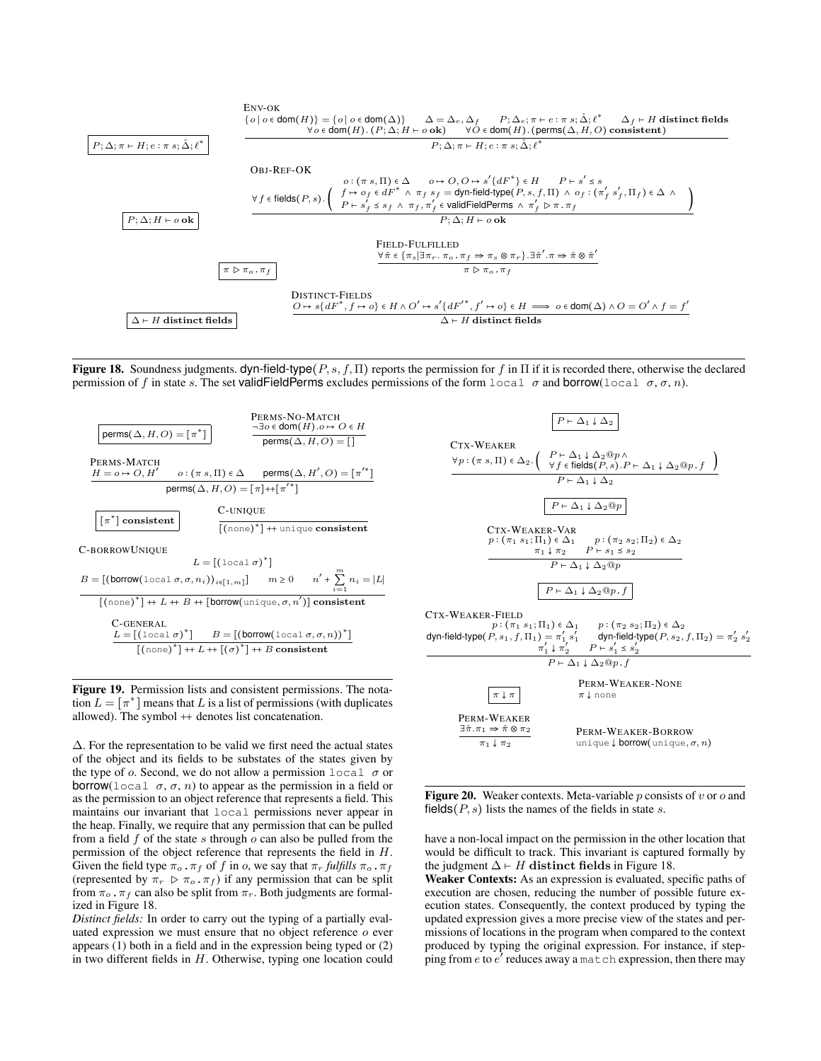

Figure 18. Soundness judgments. dyn-field-type( $P, s, f, \Pi$ ) reports the permission for f in  $\Pi$  if it is recorded there, otherwise the declared permission of f in state s. The set validFieldPerms excludes permissions of the form  $local \sigma$  and borrow( $local \sigma, \sigma, n$ ).



Figure 19. Permission lists and consistent permissions. The notation  $L = [\pi^*]$  means that L is a list of permissions (with duplicates allowed). The symbol  $+$  denotes list concatenation.

∆. For the representation to be valid we first need the actual states of the object and its fields to be substates of the states given by the type of o. Second, we do not allow a permission local  $\sigma$  or borrow(local  $\sigma$ ,  $\sigma$ , n) to appear as the permission in a field or as the permission to an object reference that represents a field. This maintains our invariant that local permissions never appear in the heap. Finally, we require that any permission that can be pulled from a field  $f$  of the state  $s$  through  $o$  can also be pulled from the permission of the object reference that represents the field in H. Given the field type  $\pi_o$ .  $\pi_f$  of f in o, we say that  $\pi_r$  fulfills  $\pi_o$ .  $\pi_f$ (represented by  $\pi_r \triangleright \pi_o \cdot \pi_f$ ) if any permission that can be split from  $\pi_o$ .  $\pi_f$  can also be split from  $\pi_r$ . Both judgments are formalized in Figure 18.

*Distinct fields:* In order to carry out the typing of a partially evaluated expression we must ensure that no object reference  $o$  ever appears (1) both in a field and in the expression being typed or (2) in two different fields in H. Otherwise, typing one location could



**Figure 20.** Weaker contexts. Meta-variable p consists of v or  $o$  and fields  $(P, s)$  lists the names of the fields in state s.

have a non-local impact on the permission in the other location that would be difficult to track. This invariant is captured formally by the judgment  $\Delta \vdash H$  distinct fields in Figure 18.

Weaker Contexts: As an expression is evaluated, specific paths of execution are chosen, reducing the number of possible future execution states. Consequently, the context produced by typing the updated expression gives a more precise view of the states and permissions of locations in the program when compared to the context produced by typing the original expression. For instance, if stepping from  $e$  to  $e'$  reduces away a match expression, then there may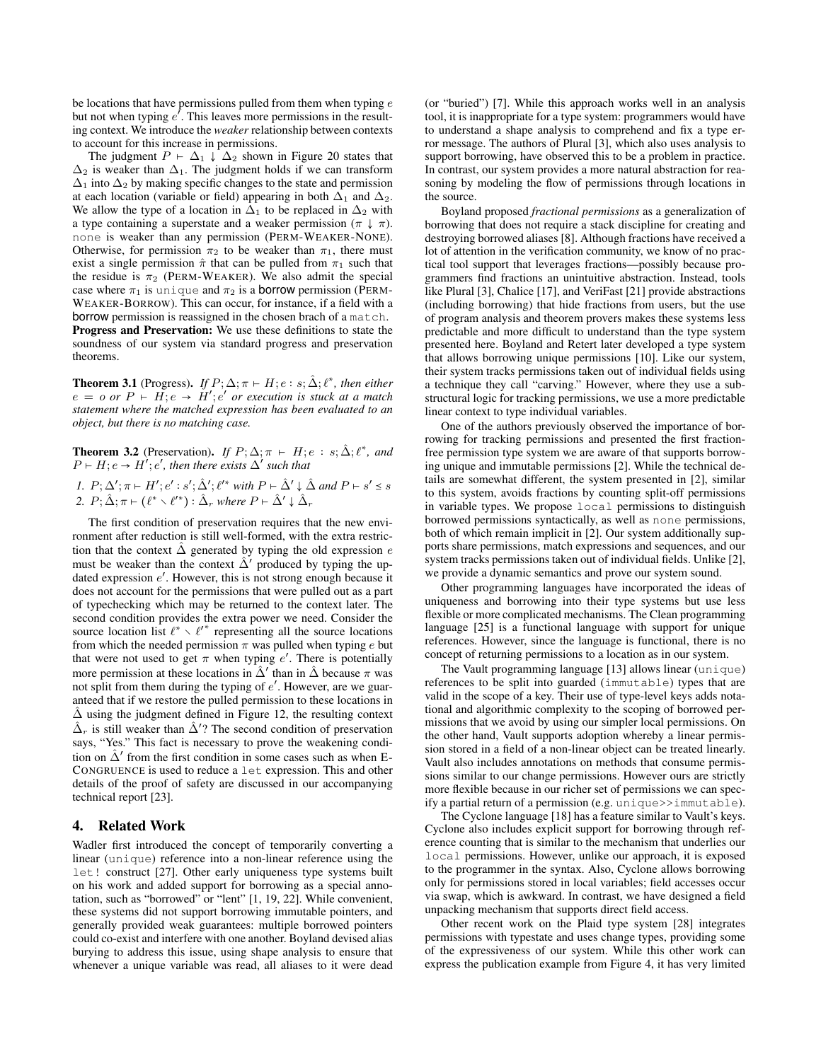be locations that have permissions pulled from them when typing  $e$ but not when typing  $e^t$ . This leaves more permissions in the resulting context. We introduce the *weaker* relationship between contexts to account for this increase in permissions.

The judgment  $P \vdash \Delta_1 \downarrow \Delta_2$  shown in Figure 20 states that  $\Delta_2$  is weaker than  $\Delta_1$ . The judgment holds if we can transform  $\Delta_1$  into  $\Delta_2$  by making specific changes to the state and permission at each location (variable or field) appearing in both  $\Delta_1$  and  $\Delta_2$ . We allow the type of a location in  $\Delta_1$  to be replaced in  $\Delta_2$  with a type containing a superstate and a weaker permission ( $\pi \downarrow \pi$ ). none is weaker than any permission (PERM-WEAKER-NONE). Otherwise, for permission  $\pi_2$  to be weaker than  $\pi_1$ , there must exist a single permission  $\hat{\pi}$  that can be pulled from  $\pi_1$  such that the residue is  $\pi_2$  (PERM-WEAKER). We also admit the special case where  $\pi_1$  is unique and  $\pi_2$  is a borrow permission (PERM-WEAKER-BORROW). This can occur, for instance, if a field with a borrow permission is reassigned in the chosen brach of a match. Progress and Preservation: We use these definitions to state the soundness of our system via standard progress and preservation theorems.

**Theorem 3.1** (Progress). *If*  $P; \Delta; \pi \vdash H; e : s; \hat{\Delta}; \ell^*$ , then either  $e = o$  *or*  $P \vdash H$ ;  $e \rightarrow H'$ ;  $e'$  *or execution is stuck at a match statement where the matched expression has been evaluated to an object, but there is no matching case.*

**Theorem 3.2** (Preservation). *If*  $P; \Delta; \pi \vdash H; e : s; \hat{\Delta}; \ell^*,$  and  $P \vdash H$ ;  $e \rightarrow H'$ ;  $e'$ , then there exists  $\Delta'$  such that

*I*.  $P; \Delta'; \pi \vdash H'; e' : s'; \hat{\Delta}'; \ell'^* \text{ with } P \vdash \hat{\Delta}' \downarrow \hat{\Delta} \text{ and } P \vdash s' \leq s$ 2.  $P; \hat{\Delta}; \pi \vdash (\ell^* \cdot \ell'^*) : \hat{\Delta}_r$  where  $P \vdash \hat{\Delta}' \downarrow \hat{\Delta}_r$ 

The first condition of preservation requires that the new environment after reduction is still well-formed, with the extra restriction that the context  $\hat{\Delta}$  generated by typing the old expression e must be weaker than the context  $\hat{\Delta}'$  produced by typing the updated expression e'. However, this is not strong enough because it does not account for the permissions that were pulled out as a part of typechecking which may be returned to the context later. The second condition provides the extra power we need. Consider the source location list  $\ell^* \setminus {\ell'}^*$  representing all the source locations from which the needed permission  $\pi$  was pulled when typing e but that were not used to get  $\pi$  when typing e'. There is potentially more permission at these locations in  $\hat{\Delta}'$  than in  $\hat{\Delta}$  because  $\pi$  was not split from them during the typing of  $e'$ . However, are we guaranteed that if we restore the pulled permission to these locations in  $\hat{\Delta}$  using the judgment defined in Figure 12, the resulting context  $\hat{\Delta}_r$  is still weaker than  $\hat{\Delta}'$ ? The second condition of preservation says, "Yes." This fact is necessary to prove the weakening condition on  $\hat{\Delta}'$  from the first condition in some cases such as when E-CONGRUENCE is used to reduce a let expression. This and other details of the proof of safety are discussed in our accompanying technical report [23].

# 4. Related Work

Wadler first introduced the concept of temporarily converting a linear (unique) reference into a non-linear reference using the let! construct [27]. Other early uniqueness type systems built on his work and added support for borrowing as a special annotation, such as "borrowed" or "lent" [1, 19, 22]. While convenient, these systems did not support borrowing immutable pointers, and generally provided weak guarantees: multiple borrowed pointers could co-exist and interfere with one another. Boyland devised alias burying to address this issue, using shape analysis to ensure that whenever a unique variable was read, all aliases to it were dead (or "buried") [7]. While this approach works well in an analysis tool, it is inappropriate for a type system: programmers would have to understand a shape analysis to comprehend and fix a type error message. The authors of Plural [3], which also uses analysis to support borrowing, have observed this to be a problem in practice. In contrast, our system provides a more natural abstraction for reasoning by modeling the flow of permissions through locations in the source.

Boyland proposed *fractional permissions* as a generalization of borrowing that does not require a stack discipline for creating and destroying borrowed aliases [8]. Although fractions have received a lot of attention in the verification community, we know of no practical tool support that leverages fractions—possibly because programmers find fractions an unintuitive abstraction. Instead, tools like Plural [3], Chalice [17], and VeriFast [21] provide abstractions (including borrowing) that hide fractions from users, but the use of program analysis and theorem provers makes these systems less predictable and more difficult to understand than the type system presented here. Boyland and Retert later developed a type system that allows borrowing unique permissions [10]. Like our system, their system tracks permissions taken out of individual fields using a technique they call "carving." However, where they use a substructural logic for tracking permissions, we use a more predictable linear context to type individual variables.

One of the authors previously observed the importance of borrowing for tracking permissions and presented the first fractionfree permission type system we are aware of that supports borrowing unique and immutable permissions [2]. While the technical details are somewhat different, the system presented in [2], similar to this system, avoids fractions by counting split-off permissions in variable types. We propose local permissions to distinguish borrowed permissions syntactically, as well as none permissions, both of which remain implicit in [2]. Our system additionally supports share permissions, match expressions and sequences, and our system tracks permissions taken out of individual fields. Unlike [2], we provide a dynamic semantics and prove our system sound.

Other programming languages have incorporated the ideas of uniqueness and borrowing into their type systems but use less flexible or more complicated mechanisms. The Clean programming language [25] is a functional language with support for unique references. However, since the language is functional, there is no concept of returning permissions to a location as in our system.

The Vault programming language [13] allows linear (unique) references to be split into guarded (immutable) types that are valid in the scope of a key. Their use of type-level keys adds notational and algorithmic complexity to the scoping of borrowed permissions that we avoid by using our simpler local permissions. On the other hand, Vault supports adoption whereby a linear permission stored in a field of a non-linear object can be treated linearly. Vault also includes annotations on methods that consume permissions similar to our change permissions. However ours are strictly more flexible because in our richer set of permissions we can specify a partial return of a permission (e.g. unique>>immutable).

The Cyclone language [18] has a feature similar to Vault's keys. Cyclone also includes explicit support for borrowing through reference counting that is similar to the mechanism that underlies our local permissions. However, unlike our approach, it is exposed to the programmer in the syntax. Also, Cyclone allows borrowing only for permissions stored in local variables; field accesses occur via swap, which is awkward. In contrast, we have designed a field unpacking mechanism that supports direct field access.

Other recent work on the Plaid type system [28] integrates permissions with typestate and uses change types, providing some of the expressiveness of our system. While this other work can express the publication example from Figure 4, it has very limited